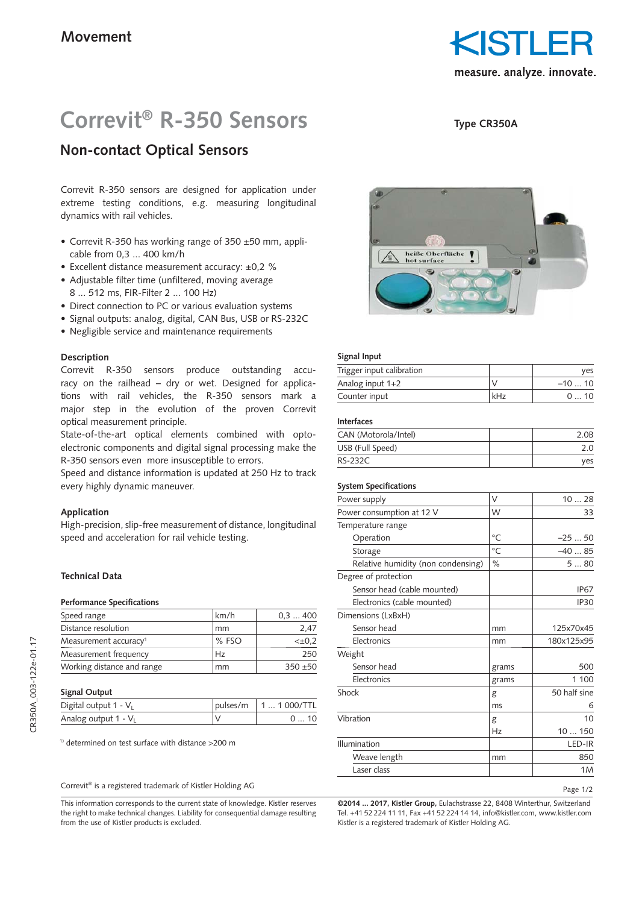KISIL measure. analyze. innovate.

# **Correvit® R-350 Sensors**

## **Non-contact Optical Sensors**

Correvit R-350 sensors are designed for application under extreme testing conditions, e.g. measuring longitudinal dynamics with rail vehicles.

- Correvit R-350 has working range of 350 ±50 mm, applicable from 0,3 ... 400 km/h
- Excellent distance measurement accuracy: ±0,2 %
- Adjustable filter time (unfiltered, moving average 8 ... 512 ms, FIR-Filter 2 ... 100 Hz)
- Direct connection to PC or various evaluation systems
- Signal outputs: analog, digital, CAN Bus, USB or RS-232C
- Negligible service and maintenance requirements

#### **Description**

Correvit R-350 sensors produce outstanding accuracy on the railhead – dry or wet. Designed for applications with rail vehicles, the R-350 sensors mark a major step in the evolution of the proven Correvit optical measurement principle.

State-of-the-art optical elements combined with optoelectronic components and digital signal processing make the R-350 sensors even more insusceptible to errors.

Speed and distance information is updated at 250 Hz to track every highly dynamic maneuver.

#### **Application**

High-precision, slip-free measurement of distance, longitudinal speed and acceleration for rail vehicle testing.

#### **Technical Data**

#### **Performance Specifications**

| Speed range                       | km/h  | 0.3400      |
|-----------------------------------|-------|-------------|
| Distance resolution               | mm    | 2.47        |
| Measurement accuracy <sup>1</sup> | % FSO | $< \pm 0.2$ |
| Measurement frequency             | Hz    | 250         |
| Working distance and range        | mm    | $350 + 50$  |

#### **Signal Output**

| Digital output 1 - V <sub>1</sub> | pulses/m   1  1 000/TTL |
|-----------------------------------|-------------------------|
| Analog output $1 - V_1$           |                         |

1) determined on test surface with distance >200 m

#### Correvit® is a registered trademark of Kistler Holding AG

This information corresponds to the current state of knowledge. Kistler reserves the right to make technical changes. Liability for consequential damage resulting from the use of Kistler products is excluded.



**Type CR350A**

### **Signal Input**

| Trigger input calibration |     | ves     |
|---------------------------|-----|---------|
| Analog input $1+2$        |     | $-1010$ |
| Counter input             | kHz | 010     |

#### **Interfaces**

| CAN (Motorola/Intel) | 2.0B |
|----------------------|------|
| USB (Full Speed)     | 2.0  |
| <b>RS-232C</b>       | ves  |

#### **System Specifications**

| Power supply                       | V         | 1028         |
|------------------------------------|-----------|--------------|
| Power consumption at 12 V          | W         | 33           |
| Temperature range                  |           |              |
| Operation                          | $\circ$ C | $-2550$      |
| Storage                            | $\circ$ C | $-4085$      |
| Relative humidity (non condensing) | $\%$      | 580          |
| Degree of protection               |           |              |
| Sensor head (cable mounted)        |           | <b>IP67</b>  |
| Electronics (cable mounted)        |           | IP30         |
| Dimensions (LxBxH)                 |           |              |
| Sensor head                        | mm        | 125x70x45    |
| Electronics                        | mm        | 180x125x95   |
| Weight                             |           |              |
| Sensor head                        | grams     | 500          |
| Electronics                        | grams     | 1 100        |
| Shock                              | g         | 50 half sine |
|                                    | ms        | 6            |
| Vibration                          | g         | 10           |
|                                    | Hz        | 10150        |
| Illumination                       |           | LED-IR       |
| Weave length                       | mm        | 850          |
| Laser class                        |           | 1M           |

Page 1/2

**©2014 ... 2017, Kistler Group,** Eulachstrasse 22, 8408 Winterthur, Switzerland Tel. +41 52 224 11 11, Fax +41 52 224 14 14, info@kistler.com, www.kistler.com Kistler is a registered trademark of Kistler Holding AG.